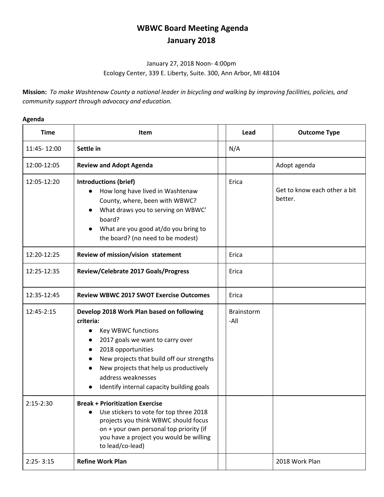## **WBWC Board Meeting Agenda January 2018**

## January 27, 2018 Noon- 4:00pm Ecology Center, 339 E. Liberty, Suite. 300, Ann Arbor, MI 48104

Mission: To make Washtenaw County a national leader in bicycling and walking by improving facilities, policies, and *community support through advocacy and education.*

## **Agenda**

| <b>Time</b>   | Item                                                                                                                                                                                                                                                                                             | Lead                      | <b>Outcome Type</b>                     |
|---------------|--------------------------------------------------------------------------------------------------------------------------------------------------------------------------------------------------------------------------------------------------------------------------------------------------|---------------------------|-----------------------------------------|
| 11:45-12:00   | Settle in                                                                                                                                                                                                                                                                                        | N/A                       |                                         |
| 12:00-12:05   | <b>Review and Adopt Agenda</b>                                                                                                                                                                                                                                                                   |                           | Adopt agenda                            |
| 12:05-12:20   | <b>Introductions (brief)</b><br>How long have lived in Washtenaw<br>County, where, been with WBWC?<br>What draws you to serving on WBWC'<br>board?<br>What are you good at/do you bring to<br>the board? (no need to be modest)                                                                  | Erica                     | Get to know each other a bit<br>better. |
| 12:20-12:25   | Review of mission/vision statement                                                                                                                                                                                                                                                               | Erica                     |                                         |
| 12:25-12:35   | Review/Celebrate 2017 Goals/Progress                                                                                                                                                                                                                                                             | Erica                     |                                         |
| 12:35-12:45   | <b>Review WBWC 2017 SWOT Exercise Outcomes</b>                                                                                                                                                                                                                                                   | Erica                     |                                         |
| 12:45-2:15    | Develop 2018 Work Plan based on following<br>criteria:<br>Key WBWC functions<br>2017 goals we want to carry over<br>2018 opportunities<br>New projects that build off our strengths<br>New projects that help us productively<br>address weaknesses<br>Identify internal capacity building goals | <b>Brainstorm</b><br>-All |                                         |
| $2:15-2:30$   | <b>Break + Prioritization Exercise</b><br>Use stickers to vote for top three 2018<br>projects you think WBWC should focus<br>on + your own personal top priority (if<br>you have a project you would be willing<br>to lead/co-lead)                                                              |                           |                                         |
| $2:25 - 3:15$ | <b>Refine Work Plan</b>                                                                                                                                                                                                                                                                          |                           | 2018 Work Plan                          |